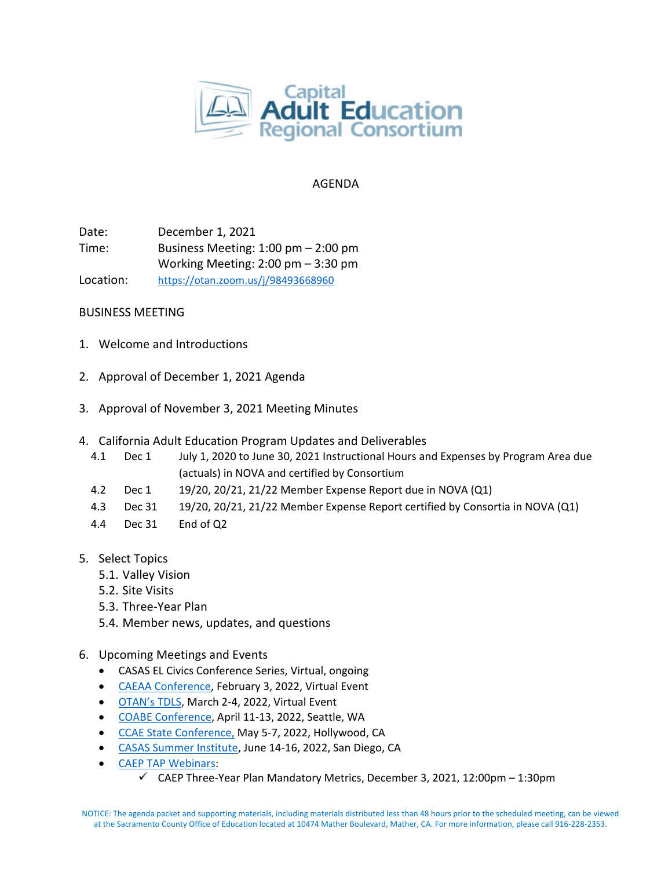

# AGENDA

Date: December 1, 2021 Time: Business Meeting: 1:00 pm – 2:00 pm Working Meeting: 2:00 pm – 3:30 pm Location: <https://otan.zoom.us/j/98493668960>

# BUSINESS MEETING

- 1. Welcome and Introductions
- 2. Approval of December 1, 2021 Agenda
- 3. Approval of November 3, 2021 Meeting Minutes
- 4. California Adult Education Program Updates and Deliverables
	- 4.1 Dec 1 July 1, 2020 to June 30, 2021 Instructional Hours and Expenses by Program Area due (actuals) in NOVA and certified by Consortium
	- 4.2 Dec 1 19/20, 20/21, 21/22 Member Expense Report due in NOVA (Q1)
	- 4.3 Dec 31 19/20, 20/21, 21/22 Member Expense Report certified by Consortia in NOVA (Q1)
	- 4.4 Dec 31 End of Q2
- 5. Select Topics
	- 5.1. Valley Vision
	- 5.2. Site Visits
	- 5.3. Three-Year Plan
	- 5.4. Member news, updates, and questions
- 6. Upcoming Meetings and Events
	- CASAS EL Civics Conference Series, Virtual, ongoing
	- [CAEAA Conference,](https://www.caeaa.org/2022-conference-registration.html) February 3, 2022, Virtual Event
	- [OTAN's TDLS,](https://tdls.otan.us/) March 2-4, 2022, Virtual Event
	- [COABE Conference,](https://coabe.org/2022-coabe-national-conference/) April 11-13, 2022, Seattle, WA
	- [CCAE State Conference,](https://www.ccaestate.org/conference-2022.html) May 5-7, 2022, Hollywood, CA
	- [CASAS Summer Institute,](https://www.casas.org/training-and-support/SI/prepare-for-2022) June 14-16, 2022, San Diego, CA
	- [CAEP TAP Webinars:](https://caladulted.org/Events)
		- $\checkmark$  CAEP Three-Year Plan Mandatory Metrics, December 3, 2021, 12:00pm 1:30pm